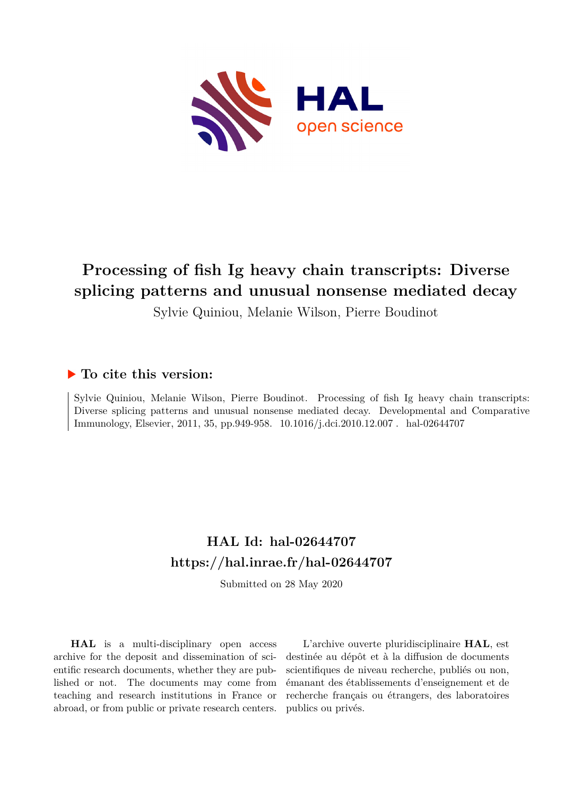

# **Processing of fish Ig heavy chain transcripts: Diverse splicing patterns and unusual nonsense mediated decay**

Sylvie Quiniou, Melanie Wilson, Pierre Boudinot

### **To cite this version:**

Sylvie Quiniou, Melanie Wilson, Pierre Boudinot. Processing of fish Ig heavy chain transcripts: Diverse splicing patterns and unusual nonsense mediated decay. Developmental and Comparative Immunology, Elsevier, 2011, 35, pp.949-958. 10.1016/j.dci.2010.12.007 . hal-02644707

## **HAL Id: hal-02644707 <https://hal.inrae.fr/hal-02644707>**

Submitted on 28 May 2020

**HAL** is a multi-disciplinary open access archive for the deposit and dissemination of scientific research documents, whether they are published or not. The documents may come from teaching and research institutions in France or abroad, or from public or private research centers.

L'archive ouverte pluridisciplinaire **HAL**, est destinée au dépôt et à la diffusion de documents scientifiques de niveau recherche, publiés ou non, émanant des établissements d'enseignement et de recherche français ou étrangers, des laboratoires publics ou privés.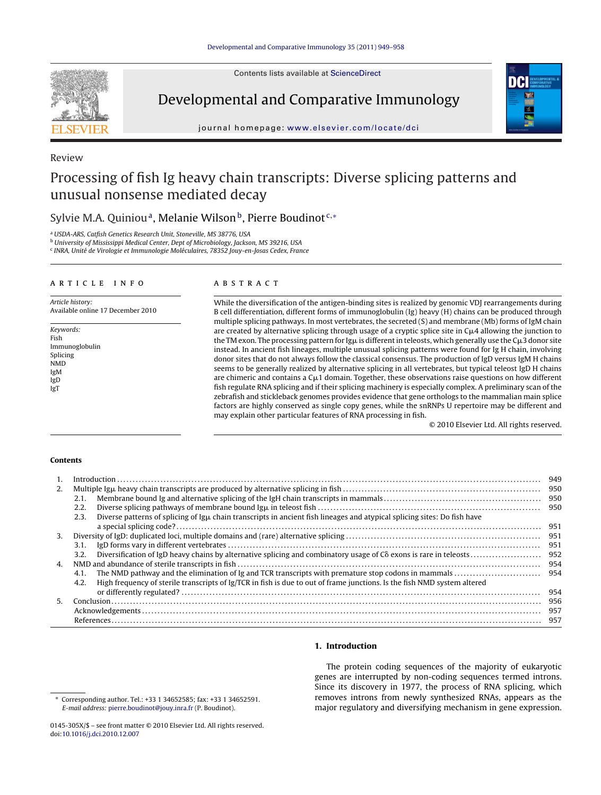Contents lists available at [ScienceDirect](http://www.sciencedirect.com/science/journal/0145305X)



Review

Developmental and Comparative Immunology



journal homepage: [www.elsevier.com/locate/dci](http://www.elsevier.com/locate/dci)

## Processing of fish Ig heavy chain transcripts: Diverse splicing patterns and unusual nonsense mediated decay

### Sylvie M.A. Quiniou<sup>a</sup>, Melanie Wilson<sup>b</sup>, Pierre Boudinot<sup>c,\*</sup>

<sup>a</sup> USDA-ARS, Catfish Genetics Research Unit, Stoneville, MS 38776, USA

<sup>b</sup> University of Mississippi Medical Center, Dept of Microbiology, Jackson, MS 39216, USA

<sup>c</sup> INRA, Unité de Virologie et Immunologie Moléculaires, 78352 Jouy-en-Josas Cedex, France

#### article info

Article history: Available online 17 December 2010

Keywords: Fish Immunoglobulin Splicing NMD IgM IgD IgT

#### **ABSTRACT**

While the diversification of the antigen-binding sites is realized by genomic VDJ rearrangements during B cell differentiation, different forms of immunoglobulin (Ig) heavy (H) chains can be produced through multiple splicing pathways. In most vertebrates, the secreted (S) and membrane (Mb) forms of IgM chain are created by alternative splicing through usage of a cryptic splice site in  $C\mu A$  allowing the junction to the TM exon. The processing pattern for Igµ is different in teleosts, which generally use the Cµ3 donor site instead. In ancient fish lineages, multiple unusual splicing patterns were found for Ig H chain, involving donor sites that do not always follow the classical consensus. The production of IgD versus IgM H chains seems to be generally realized by alternative splicing in all vertebrates, but typical teleost IgD H chains are chimeric and contains a C $\mu$ 1 domain. Together, these observations raise questions on how different fish regulate RNA splicing and if their splicing machinery is especially complex. A preliminary scan of the zebrafish and stickleback genomes provides evidence that gene orthologs to the mammalian main splice factors are highly conserved as single copy genes, while the snRNPs U repertoire may be different and may explain other particular features of RNA processing in fish.

© 2010 Elsevier Ltd. All rights reserved.

#### **Contents**

|      |                                                                                                                                | 949 |  |  |
|------|--------------------------------------------------------------------------------------------------------------------------------|-----|--|--|
| 2.   |                                                                                                                                |     |  |  |
| 2.1. |                                                                                                                                | 950 |  |  |
| 2.2. |                                                                                                                                | 950 |  |  |
| 2.3. | Diverse patterns of splicing of $\lg \mu$ chain transcripts in ancient fish lineages and atypical splicing sites: Do fish have |     |  |  |
|      |                                                                                                                                | 951 |  |  |
| 3.   |                                                                                                                                |     |  |  |
| 3.1. |                                                                                                                                | 951 |  |  |
| 3.2. |                                                                                                                                | 952 |  |  |
|      |                                                                                                                                | 954 |  |  |
| 4.1. | The NMD pathway and the elimination of Ig and TCR transcripts with premature stop codons in mammals                            | 954 |  |  |
| 4.2. | High frequency of sterile transcripts of Ig/TCR in fish is due to out of frame junctions. Is the fish NMD system altered       |     |  |  |
|      |                                                                                                                                | 954 |  |  |
|      |                                                                                                                                | 956 |  |  |
| 957  |                                                                                                                                |     |  |  |
| 957  |                                                                                                                                |     |  |  |
| 5.   |                                                                                                                                |     |  |  |

#### **1. Introduction**

The protein coding sequences of the majority of eukaryotic genes are interrupted by non-coding sequences termed introns. Since its discovery in 1977, the process of RNA splicing, which removes introns from newly synthesized RNAs, appears as the major regulatory and diversifying mechanism in gene expression.

<sup>∗</sup> Corresponding author. Tel.: +33 1 34652585; fax: +33 1 34652591. E-mail address: [pierre.boudinot@jouy.inra.fr](mailto:pierre.boudinot@jouy.inra.fr) (P. Boudinot).

<sup>0145-305</sup>X/\$ – see front matter © 2010 Elsevier Ltd. All rights reserved. doi:[10.1016/j.dci.2010.12.007](dx.doi.org/10.1016/j.dci.2010.12.007)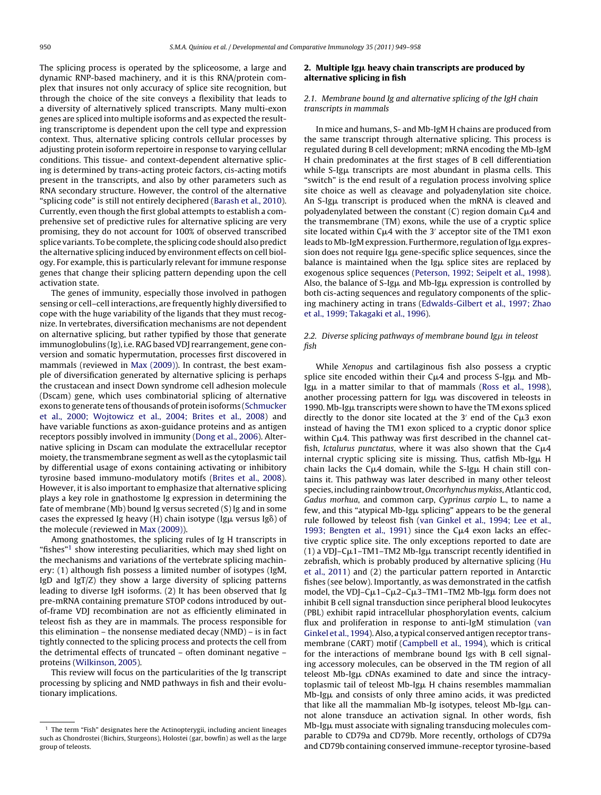The splicing process is operated by the spliceosome, a large and dynamic RNP-based machinery, and it is this RNA/protein complex that insures not only accuracy of splice site recognition, but through the choice of the site conveys a flexibility that leads to a diversity of alternatively spliced transcripts. Many multi-exon genes are spliced into multiple isoforms and as expected the resulting transcriptome is dependent upon the cell type and expression context. Thus, alternative splicing controls cellular processes by adjusting protein isoform repertoire in response to varying cellular conditions. This tissue- and context-dependent alternative splicing is determined by trans-acting proteic factors, cis-acting motifs present in the transcripts, and also by other parameters such as RNA secondary structure. However, the control of the alternative "splicing code" is still not entirely deciphered (Barash et al., 2010). Currently, even though the first global attempts to establish a comprehensive set of predictive rules for alternative splicing are very promising, they do not account for 100% of observed transcribed splice variants. To be complete, the splicing code should also predict the alternative splicing induced by environment effects on cell biology. For example, this is particularly relevant for immune response genes that change their splicing pattern depending upon the cell activation state.

The genes of immunity, especially those involved in pathogen sensing or cell–cell interactions, are frequently highly diversified to cope with the huge variability of the ligands that they must recognize. In vertebrates, diversification mechanisms are not dependent on alternative splicing, but rather typified by those that generate immunoglobulins (Ig), i.e. RAG based VDJ rearrangement, gene conversion and somatic hypermutation, processes first discovered in mammals (reviewed in Max (2009)). In contrast, the best example of diversification generated by alternative splicing is perhaps the crustacean and insect Down syndrome cell adhesion molecule (Dscam) gene, which uses combinatorial splicing of alternative exons to generate tens of thousands of protein isoforms (Schmucker et al., 2000; Wojtowicz et al., 2004; Brites et al., 2008) and have variable functions as axon-guidance proteins and as antigen receptors possibly involved in immunity (Dong et al., 2006). Alternative splicing in Dscam can modulate the extracellular receptor moiety, the transmembrane segment as well as the cytoplasmic tail by differential usage of exons containing activating or inhibitory tyrosine based immuno-modulatory motifs (Brites et al., 2008). However, it is also important to emphasize that alternative splicing plays a key role in gnathostome Ig expression in determining the fate of membrane (Mb) bound Ig versus secreted (S) Ig and in some cases the expressed Ig heavy (H) chain isotype (Ig $\mu$  versus Ig $\delta$ ) of the molecule (reviewed in Max (2009)).

Among gnathostomes, the splicing rules of Ig H transcripts in "fishes"<sup>1</sup> show interesting peculiarities, which may shed light on the mechanisms and variations of the vertebrate splicing machinery: (1) although fish possess a limited number of isotypes (IgM, IgD and IgT/Z) they show a large diversity of splicing patterns leading to diverse IgH isoforms. (2) It has been observed that Ig pre-mRNA containing premature STOP codons introduced by outof-frame VDJ recombination are not as efficiently eliminated in teleost fish as they are in mammals. The process responsible for this elimination – the nonsense mediated decay (NMD) – is in fact tightly connected to the splicing process and protects the cell from the detrimental effects of truncated – often dominant negative – proteins (Wilkinson, 2005).

This review will focus on the particularities of the Ig transcript processing by splicing and NMD pathways in fish and their evolutionary implications.

#### 2. Multiple Igµ heavy chain transcripts are produced by **alternative splicing in fish**

#### 2.1. Membrane bound Ig and alternative splicing of the IgH chain transcripts in mammals

In mice and humans, S- and Mb-IgM H chains are produced from the same transcript through alternative splicing. This process is regulated during B cell development; mRNA encoding the Mb-IgM H chain predominates at the first stages of B cell differentiation while S-Igµ transcripts are most abundant in plasma cells. This "switch" is the end result of a regulation process involving splice site choice as well as cleavage and polyadenylation site choice. An S-Igµ transcript is produced when the mRNA is cleaved and polyadenylated between the constant (C) region domain  $C\mu4$  and the transmembrane (TM) exons, while the use of a cryptic splice site located within  $C\mu 4$  with the 3' acceptor site of the TM1 exon leads to Mb-IgM expression. Furthermore, regulation of Igµ expres- $\sin$  does not require  $\lg\mu$  gene-specific splice sequences, since the balance is maintained when the Ig $\mu$  splice sites are replaced by exogenous splice sequences (Peterson, 1992; Seipelt et al., 1998). Also, the balance of S-Igµ and Mb-Igµ expression is controlled by both cis-acting sequences and regulatory components of the splicing machinery acting in trans (Edwalds-Gilbert et al., 1997; Zhao et al., 1999; Takagaki et al., 1996).

#### 2.2. Diverse splicing pathways of membrane bound Ig $\mu$  in teleost fish

While Xenopus and cartilaginous fish also possess a cryptic splice site encoded within their  $C\mu 4$  and process S-Ig $\mu$  and Mb-Igµ in a matter similar to that of mammals (Ross et al., 1998), another processing pattern for Igµ was discovered in teleosts in 1990. Mb-Igµ transcripts were shown to have the TM exons spliced directly to the donor site located at the 3' end of the  $C\mu 3$  exon instead of having the TM1 exon spliced to a cryptic donor splice within Cµ4. This pathway was first described in the channel catfish, *Ictalurus punctatus*, where it was also shown that the  $C\mu4$ internal cryptic splicing site is missing. Thus, catfish Mb-Ig $\mu$  H chain lacks the  $C\mu 4$  domain, while the S-Ig $\mu$  H chain still contains it. This pathway was later described in many other teleost species, including rainbow trout, Oncorhynchus mykiss, Atlantic cod, Gadus morhua, and common carp, Cyprinus carpio L., to name a few, and this "atypical Mb-Igµ splicing" appears to be the general rule followed by teleost fish (van Ginkel et al., 1994; Lee et al., 1993; Bengten et al., 1991) since the  $C\mu$ 4 exon lacks an effective cryptic splice site. The only exceptions reported to date are (1) a VDJ–C $\upmu$ 1–TM1–TM2 Mb-Ig $\upmu$  transcript recently identified in zebrafish, which is probably produced by alternative splicing (Hu et al., 2011) and (2) the particular pattern reported in Antarctic fishes (see below). Importantly, as was demonstrated in the catfish model, the VDJ–Cµ1–Cµ2–Cµ3–TM1–TM2 Mb-Igµ form does not inhibit B cell signal transduction since peripheral blood leukocytes (PBL) exhibit rapid intracellular phosphorylation events, calcium flux and proliferation in response to anti-IgM stimulation (van Ginkel et al., 1994). Also, a typical conserved antigen receptor transmembrane (CART) motif (Campbell et al., 1994), which is critical for the interactions of membrane bound Igs with B cell signaling accessory molecules, can be observed in the TM region of all teleost Mb-Igµ cDNAs examined to date and since the intracytoplasmic tail of teleost Mb-Igµ. H chains resembles mammalian Mb-Igµ and consists of only three amino acids, it was predicted that like all the mammalian Mb-Ig isotypes, teleost Mb-Igµ cannot alone transduce an activation signal. In other words, fish Mb-Igµ must associate with signaling transducing molecules comparable to CD79a and CD79b. More recently, orthologs of CD79a and CD79b containing conserved immune-receptor tyrosine-based

<sup>&</sup>lt;sup>1</sup> The term "Fish" designates here the Actinopterygii, including ancient lineages such as Chondrostei (Bichirs, Sturgeons), Holostei (gar, bowfin) as well as the large group of teleosts.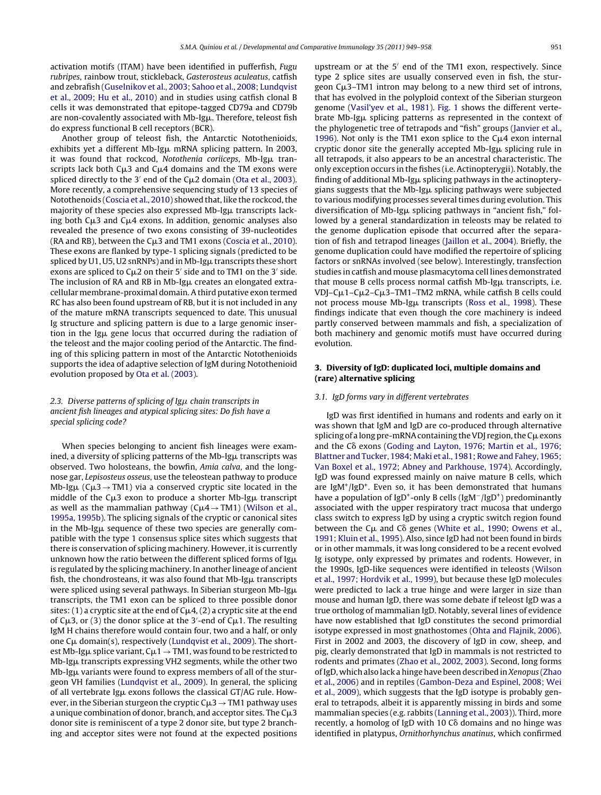activation motifs (ITAM) have been identified in pufferfish, Fugu rubripes, rainbow trout, stickleback, Gasterosteus aculeatus, catfish and zebrafish (Guselnikov et al., 2003; Sahoo et al., 2008; Lundqvist et al., 2009; Hu et al., 2010) and in studies using catfish clonal B cells it was demonstrated that epitope-tagged CD79a and CD79b are non-covalently associated with Mb-Igµ. Therefore, teleost fish do express functional B cell receptors (BCR).

Another group of teleost fish, the Antarctic Notothenioids, exhibits yet a different Mb-Igµ mRNA splicing pattern. In 2003, it was found that rockcod, Notothenia coriiceps, Mb-Igµ transcripts lack both  $C\mu 3$  and  $C\mu 4$  domains and the TM exons were spliced directly to the 3' end of the C $\mu$ 2 domain (Ota et al., 2003). More recently, a comprehensive sequencing study of 13 species of Notothenoids (Coscia et al., 2010) showed that, like the rockcod, the majority of these species also expressed Mb-Igµ transcripts lacking both C $\mu$ 3 and C $\mu$ 4 exons. In addition, genomic analyses also revealed the presence of two exons consisting of 39-nucleotides (RA and RB), between the C $\upmu$ 3 and TM1 exons (Coscia et al., 2010). These exons are flanked by type-1 splicing signals (predicted to be spliced by U1, U5, U2 snRNPs) and in Mb-Igµ transcripts these short exons are spliced to C $\mu$ 2 on their 5' side and to TM1 on the 3' side. The inclusion of RA and RB in Mb-Igµ creates an elongated extracellular membrane-proximal domain. A third putative exon termed RC has also been found upstream of RB, but it is not included in any of the mature mRNA transcripts sequenced to date. This unusual Ig structure and splicing pattern is due to a large genomic insertion in the Igµ gene locus that occurred during the radiation of the teleost and the major cooling period of the Antarctic. The finding of this splicing pattern in most of the Antarctic Notothenioids supports the idea of adaptive selection of IgM during Notothenioid evolution proposed by Ota et al. (2003).

#### 2.3. Diverse patterns of splicing of Ig $\mu$  chain transcripts in ancient fish lineages and atypical splicing sites: Do fish have a special splicing code?

When species belonging to ancient fish lineages were examined, a diversity of splicing patterns of the Mb-Ig $\mu$  transcripts was observed. Two holosteans, the bowfin, Amia calva, and the longnose gar, Lepisosteus osseus, use the teleostean pathway to produce Mb-Ig $\mu$  (C $\mu$ 3  $\rightarrow$  TM1) via a conserved cryptic site located in the middle of the C $\mu$ 3 exon to produce a shorter Mb-Ig $\mu$  transcript as well as the mammalian pathway ( $C\mu$ 4 $\rightarrow$  TM1) (Wilson et al., 1995a, 1995b). The splicing signals of the cryptic or canonical sites in the Mb-Igµ sequence of these two species are generally compatible with the type 1 consensus splice sites which suggests that there is conservation of splicing machinery. However, it is currently unknown how the ratio between the different spliced forms of Ig $\mu$ is regulated by the splicing machinery. In another lineage of ancient fish, the chondrosteans, it was also found that Mb-Ig $\mu$  transcripts were spliced using several pathways. In Siberian sturgeon Mb-Ig $\mu$ transcripts, the TM1 exon can be spliced to three possible donor sites: (1) a cryptic site at the end of C $\mu$ 4, (2) a cryptic site at the end of C $\mu$ 3, or (3) the donor splice at the 3'-end of C $\mu$ 1. The resulting IgM H chains therefore would contain four, two and a half, or only one Cµ domain(s), respectively (Lundqvist et al., 2009). The shortest Mb-Ig $\mu$  splice variant, C $\mu$ 1  $\rightarrow$  TM1, was found to be restricted to Mb-Igµ transcripts expressing VH2 segments, while the other two Mb-Igµ variants were found to express members of all of the sturgeon VH families (Lundqvist et al., 2009). In general, the splicing of all vertebrate Igµ exons follows the classical GT/AG rule. However, in the Siberian sturgeon the cryptic  $C\mu 3 \rightarrow T M1$  pathway uses a unique combination of donor, branch, and acceptor sites. The  $C\mu 3$ donor site is reminiscent of a type 2 donor site, but type 2 branching and acceptor sites were not found at the expected positions upstream or at the 5' end of the TM1 exon, respectively. Since type 2 splice sites are usually conserved even in fish, the sturgeon  $C\mu$ 3–TM1 intron may belong to a new third set of introns, that has evolved in the polyploid context of the Siberian sturgeon genome (Vasil'yev et al., 1981). Fig. 1 shows the different vertebrate Mb-Igµ splicing patterns as represented in the context of the phylogenetic tree of tetrapods and "fish" groups (Janvier et al., 1996). Not only is the TM1 exon splice to the  $C\mu$ 4 exon internal cryptic donor site the generally accepted Mb-Igµ splicing rule in all tetrapods, it also appears to be an ancestral characteristic. The only exception occurs in the fishes (i.e. Actinopterygii). Notably, the finding of additional Mb-Ig $\mu$  splicing pathways in the actinopterygians suggests that the Mb-Ig $\mu$  splicing pathways were subjected to various modifying processes several times during evolution. This diversification of Mb-Igµ splicing pathways in "ancient fish," followed by a general standardization in teleosts may be related to the genome duplication episode that occurred after the separation of fish and tetrapod lineages (Jaillon et al., 2004). Briefly, the genome duplication could have modified the repertoire of splicing factors or snRNAs involved (see below). Interestingly, transfection studies in catfish and mouse plasmacytoma cell lines demonstrated that mouse B cells process normal catfish Mb-Igµ transcripts, i.e. VDJ–Cµ1–Cµ2–Cµ3–TM1–TM2 mRNA, while catfish B cells could not process mouse Mb-Igµ transcripts (Ross et al., 1998). These findings indicate that even though the core machinery is indeed partly conserved between mammals and fish, a specialization of both machinery and genomic motifs must have occurred during evolution.

#### **3. Diversity of IgD: duplicated loci, multiple domains and (rare) alternative splicing**

#### 3.1. IgD forms vary in different vertebrates

IgD was first identified in humans and rodents and early on it was shown that IgM and IgD are co-produced through alternative splicing of a long pre-mRNA containing the VDJ region, the  $C\mu$  exons and the  $C\delta$  exons (Goding and Layton, 1976; Martin et al., 1976; Blattner and Tucker, 1984; Maki et al., 1981; Rowe and Fahey, 1965; Van Boxel et al., 1972; Abney and Parkhouse, 1974). Accordingly, IgD was found expressed mainly on naive mature B cells, which are IgM<sup>+</sup>/IgD<sup>+</sup>. Even so, it has been demonstrated that humans have a population of IgD+-only B cells (IgM−/IgD+) predominantly associated with the upper respiratory tract mucosa that undergo class switch to express IgD by using a cryptic switch region found between the  $C\mu$  and  $C\delta$  genes (White et al., 1990; Owens et al., 1991; Kluin et al., 1995). Also, since IgD had not been found in birds or in other mammals, it was long considered to be a recent evolved Ig isotype, only expressed by primates and rodents. However, in the 1990s, IgD-like sequences were identified in teleosts (Wilson et al., 1997; Hordvik et al., 1999), but because these IgD molecules were predicted to lack a true hinge and were larger in size than mouse and human IgD, there was some debate if teleost IgD was a true ortholog of mammalian IgD. Notably, several lines of evidence have now established that IgD constitutes the second primordial isotype expressed in most gnathostomes (Ohta and Flajnik, 2006). First in 2002 and 2003, the discovery of IgD in cow, sheep, and pig, clearly demonstrated that IgD in mammals is not restricted to rodents and primates (Zhao et al., 2002, 2003). Second, long forms of IgD, which also lack a hinge have been described in Xenopus (Zhao et al., 2006) and in reptiles (Gambon-Deza and Espinel, 2008; Wei et al., 2009), which suggests that the IgD isotype is probably general to tetrapods, albeit it is apparently missing in birds and some mammalian species (e.g. rabbits (Lanning et al., 2003)). Third, more recently, a homolog of IgD with 10  $C\delta$  domains and no hinge was identified in platypus, Ornithorhynchus anatinus, which confirmed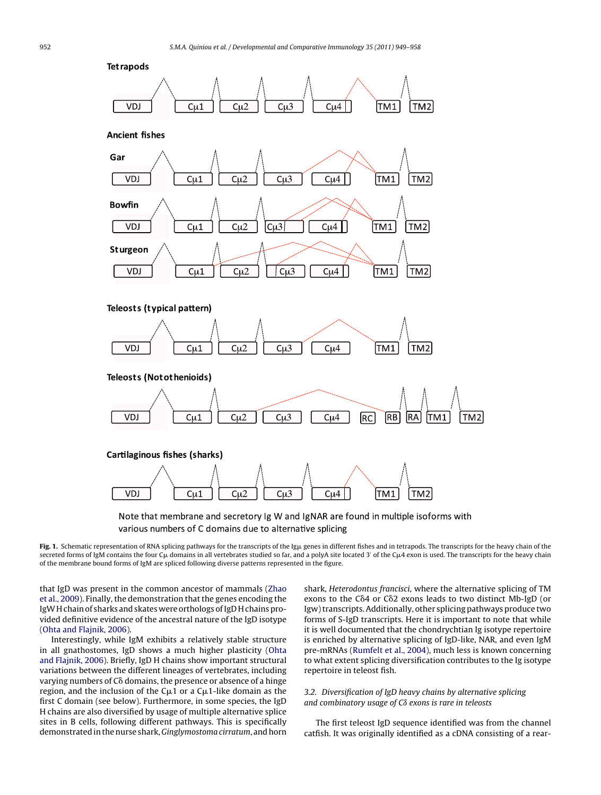



**Fig. 1.** Schematic representation of RNA splicing pathways for the transcripts of the Igµ genes in different fishes and in tetrapods. The transcripts for the heavy chain of the secreted forms of IgM contains the four Cµ domains in all vertebrates studied so far, and a polyA site located 3' of the Cµ4 exon is used. The transcripts for the heavy chain of the membrane bound forms of IgM are spliced following diverse patterns represented in the figure.

that IgD was present in the common ancestor of mammals (Zhao et al., 2009). Finally, the demonstration that the genes encoding the IgW H chain of sharks and skates were orthologs of IgD H chains provided definitive evidence of the ancestral nature of the IgD isotype (Ohta and Flajnik, 2006).

Interestingly, while IgM exhibits a relatively stable structure in all gnathostomes, IgD shows a much higher plasticity (Ohta and Flajnik, 2006). Briefly, IgD H chains show important structural variations between the different lineages of vertebrates, including varying numbers of Cô domains, the presence or absence of a hinge region, and the inclusion of the C $\upmu$ 1 or a C $\upmu$ 1-like domain as the first C domain (see below). Furthermore, in some species, the IgD H chains are also diversified by usage of multiple alternative splice sites in B cells, following different pathways. This is specifically demonstrated in the nurse shark, Ginglymostoma cirratum, and horn

shark, Heterodontus francisci, where the alternative splicing of TM exons to the  $C\delta4$  or  $C\delta2$  exons leads to two distinct Mb-IgD (or Igw) transcripts. Additionally, other splicing pathways produce two forms of S-IgD transcripts. Here it is important to note that while it is well documented that the chondrychtian Ig isotype repertoire is enriched by alternative splicing of IgD-like, NAR, and even IgM pre-mRNAs (Rumfelt et al., 2004), much less is known concerning to what extent splicing diversification contributes to the Ig isotype repertoire in teleost fish.

#### 3.2. Diversification of IgD heavy chains by alternative splicing and combinatory usage of  $C\delta$  exons is rare in teleosts

The first teleost IgD sequence identified was from the channel catfish. It was originally identified as a cDNA consisting of a rear-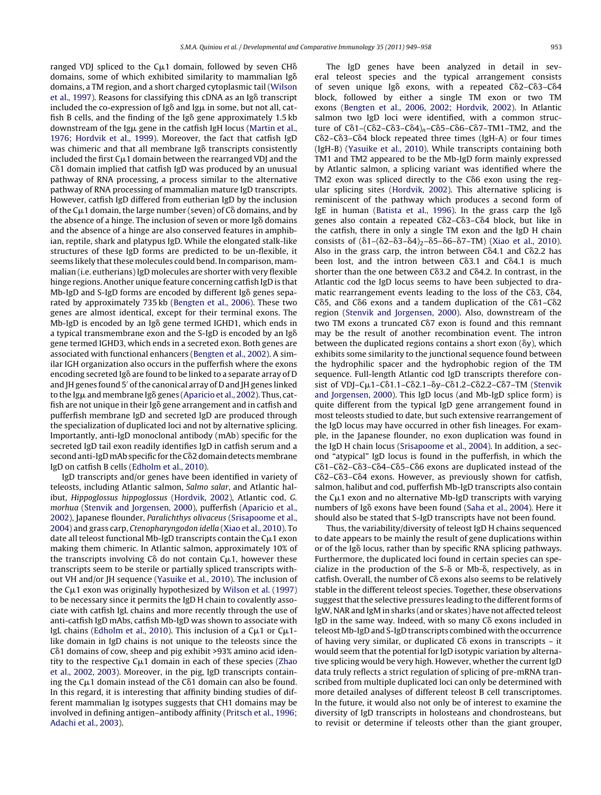ranged VDJ spliced to the C $\mu$ 1 domain, followed by seven CH $\delta$ domains, some of which exhibited similarity to mammalian Ig domains, a TM region, and a short charged cytoplasmic tail (Wilson et al., 1997). Reasons for classifying this cDNA as an Ig<sub>o</sub> transcript included the co-expression of Ig $\delta$  and Ig $\mu$  in some, but not all, catfish B cells, and the finding of the Ig $\delta$  gene approximately 1.5 kb downstream of the Ig $\mu$  gene in the catfish IgH locus (Martin et al., 1976; Hordvik et al., 1999). Moreover, the fact that catfish IgD was chimeric and that all membrane Ig<sub>o</sub> transcripts consistently included the first C $\upmu$ 1 domain between the rearranged VDJ and the  $C\delta1$  domain implied that catfish IgD was produced by an unusual pathway of RNA processing, a process similar to the alternative pathway of RNA processing of mammalian mature IgD transcripts. However, catfish IgD differed from eutherian IgD by the inclusion of the C $\upmu$ 1 domain, the large number (seven) of C $\delta$  domains, and by the absence of a hinge. The inclusion of seven or more Ig<sub>o</sub> domains and the absence of a hinge are also conserved features in amphibian, reptile, shark and platypus IgD. While the elongated stalk-like structures of these IgD forms are predicted to be un-flexible, it seems likely that these molecules could bend. In comparison, mammalian (i.e. eutherians) IgD molecules are shorter with very flexible hinge regions. Another unique feature concerning catfish IgD is that Mb-IgD and S-IgD forms are encoded by different Ig<sub>o</sub> genes separated by approximately 735 kb (Bengten et al., 2006). These two genes are almost identical, except for their terminal exons. The Mb-IgD is encoded by an Ig<sub>o</sub> gene termed IGHD1, which ends in a typical transmembrane exon and the S-IgD is encoded by an Ig $\delta$ gene termed IGHD3, which ends in a secreted exon. Both genes are associated with functional enhancers (Bengten et al., 2002). A similar IGH organization also occurs in the pufferfish where the exons encoding secreted Ig<sub>o</sub> are found to be linked to a separate array of D and JH genes found 5' of the canonical array of D and JH genes linked to the Igµ and membrane Ig $\delta$  genes (Aparicio et al., 2002). Thus, catfish are not unique in their Igo gene arrangement and in catfish and pufferfish membrane IgD and secreted IgD are produced through the specialization of duplicated loci and not by alternative splicing. Importantly, anti-IgD monoclonal antibody (mAb) specific for the secreted IgD tail exon readily identifies IgD in catfish serum and a second anti-IgD mAb specific for the C<sub>02</sub> domain detects membrane IgD on catfish B cells (Edholm et al., 2010).

IgD transcripts and/or genes have been identified in variety of teleosts, including Atlantic salmon, Salmo salar, and Atlantic halibut, Hippoglossus hippoglossus (Hordvik, 2002), Atlantic cod, G. morhua (Stenvik and Jorgensen, 2000), pufferfish (Aparicio et al., 2002), Japanese flounder, Paralichthys olivaceus (Srisapoome et al., 2004) and grass carp, Ctenopharyngodon idella (Xiao et al., 2010). To date all teleost functional Mb-IgD transcripts contain the C $\upmu$ 1 exon making them chimeric. In Atlantic salmon, approximately 10% of the transcripts involving C $\delta$  do not contain C $\mu$ 1, however these transcripts seem to be sterile or partially spliced transcripts without VH and/or JH sequence (Yasuike et al., 2010). The inclusion of the Cµ1 exon was originally hypothesized by Wilson et al. (1997) to be necessary since it permits the IgD H chain to covalently associate with catfish IgL chains and more recently through the use of anti-catfish IgD mAbs, catfish Mb-IgD was shown to associate with IgL chains (Edholm et al., 2010). This inclusion of a C $\mu$ 1 or C $\mu$ 1like domain in IgD chains is not unique to the teleosts since the  $C\delta1$  domains of cow, sheep and pig exhibit >93% amino acid identity to the respective  $C\mu 1$  domain in each of these species (Zhao et al., 2002, 2003). Moreover, in the pig, IgD transcripts containing the C $\mu$ 1 domain instead of the C $\delta$ 1 domain can also be found. In this regard, it is interesting that affinity binding studies of different mammalian Ig isotypes suggests that CH1 domains may be involved in defining antigen–antibody affinity (Pritsch et al., 1996; Adachi et al., 2003).

The IgD genes have been analyzed in detail in several teleost species and the typical arrangement consists of seven unique Ig $\delta$  exons, with a repeated  $C\delta$ 2– $C\delta$ 3– $C\delta$ 4 block, followed by either a single TM exon or two TM exons (Bengten et al., 2006, 2002; Hordvik, 2002). In Atlantic salmon two IgD loci were identified, with a common structure of  $C\delta$ 1-( $C\delta$ 2- $C\delta$ 3- $C\delta$ 4)<sub>n</sub>- $C\delta$ 5- $C\delta$ 6- $C\delta$ 7-TM1-TM2, and the  $C\delta$ 2– $C\delta$ 3– $C\delta$ 4 block repeated three times (IgH-A) or four times (IgH-B) (Yasuike et al., 2010). While transcripts containing both TM1 and TM2 appeared to be the Mb-IgD form mainly expressed by Atlantic salmon, a splicing variant was identified where the TM2 exon was spliced directly to the  $C\delta6$  exon using the regular splicing sites (Hordvik, 2002). This alternative splicing is reminiscent of the pathway which produces a second form of IgE in human (Batista et al., 1996). In the grass carp the Ig $\delta$ genes also contain a repeated  $C\delta$ 2– $C\delta$ 3– $C\delta$ 4 block, but like in the catfish, there in only a single TM exon and the IgD H chain consists of  $(\delta1-(\delta2-\delta3-\delta4))2-\delta5-\delta6-\delta7-TM)$  (Xiao et al., 2010). Also in the grass carp, the intron between  $C\delta4.1$  and  $C\delta2.2$  has been lost, and the intron between  $C\delta 3.1$  and  $C\delta 4.1$  is much shorter than the one between  $C\delta 3.2$  and  $C\delta 4.2$ . In contrast, in the Atlantic cod the IgD locus seems to have been subjected to dramatic rearrangement events leading to the loss of the  $C\delta 3$ ,  $C\delta 4$ , C $\delta$ 5, and C $\delta$ 6 exons and a tandem duplication of the C $\delta$ 1–C $\delta$ 2 region (Stenvik and Jorgensen, 2000). Also, downstream of the two TM exons a truncated  $C\delta$ 7 exon is found and this remnant may be the result of another recombination event. The intron between the duplicated regions contains a short exon  $(\delta y)$ , which exhibits some similarity to the junctional sequence found between the hydrophilic spacer and the hydrophobic region of the TM sequence. Full-length Atlantic cod IgD transcripts therefore consist of VDJ–Cµ1–Cò1.1–Cò2.1–òy–Cò1.2–Cò2.2–Cò7–TM (Stenvik and Jorgensen, 2000). This IgD locus (and Mb-IgD splice form) is quite different from the typical IgD gene arrangement found in most teleosts studied to date, but such extensive rearrangement of the IgD locus may have occurred in other fish lineages. For example, in the Japanese flounder, no exon duplication was found in the IgD H chain locus (Srisapoome et al., 2004). In addition, a second "atypical" IgD locus is found in the pufferfish, in which the C1–C2–C3–C4–C5–C6 exons are duplicated instead of the C $\delta$ 2–C $\delta$ 3–C $\delta$ 4 exons. However, as previously shown for catfish, salmon, halibut and cod, pufferfish Mb-IgD transcripts also contain the  $C\mu$ 1 exon and no alternative Mb-IgD transcripts with varying numbers of Igo exons have been found (Saha et al., 2004). Here it should also be stated that S-IgD transcripts have not been found.

Thus, the variability/diversity of teleost IgD H chains sequenced to date appears to be mainly the result of gene duplications within or of the Ig<sub>o</sub> locus, rather than by specific RNA splicing pathways. Furthermore, the duplicated loci found in certain species can specialize in the production of the S- $\delta$  or Mb- $\delta$ , respectively, as in catfish. Overall, the number of  $C\delta$  exons also seems to be relatively stable in the different teleost species. Together, these observations suggest that the selective pressures leading to the different forms of IgW, NAR and IgM in sharks (and or skates) have not affected teleost IgD in the same way. Indeed, with so many  $C\delta$  exons included in teleost Mb-IgD and S-IgD transcripts combined with the occurrence of having very similar, or duplicated  $C\delta$  exons in transcripts – it would seem that the potential for IgD isotypic variation by alternative splicing would be very high. However, whether the current IgD data truly reflects a strict regulation of splicing of pre-mRNA transcribed from multiple duplicated loci can only be determined with more detailed analyses of different teleost B cell transcriptomes. In the future, it would also not only be of interest to examine the diversity of IgD transcripts in holosteans and chondrosteans, but to revisit or determine if teleosts other than the giant grouper,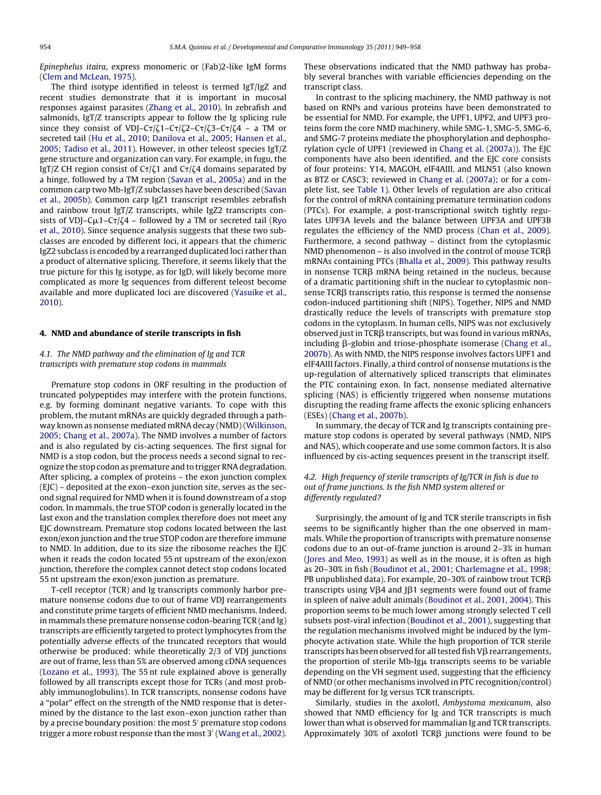Epinephelus itaira, express monomeric or (Fab)2-like IgM forms (Clem and McLean, 1975).

The third isotype identified in teleost is termed IgT/IgZ and recent studies demonstrate that it is important in mucosal responses against parasites (Zhang et al., 2010). In zebrafish and salmonids, IgT/Z transcripts appear to follow the Ig splicing rule since they consist of VDJ–C $\tau/\zeta$ 1–C $\tau/\zeta$ 2–C $\tau/\zeta$ 3–C $\tau/\zeta$ 4 – a TM or secreted tail (Hu et al., 2010; Danilova et al., 2005; Hansen et al., 2005; Tadiso et al., 2011). However, in other teleost species IgT/Z gene structure and organization can vary. For example, in fugu, the IgT/Z CH region consist of C $\tau/\zeta$ 1 and C $\tau/\zeta$ 4 domains separated by a hinge, followed by a TM region (Savan et al., 2005a) and in the common carp two Mb-IgT/Z subclasses have been described (Savan et al., 2005b). Common carp IgZ1 transcript resembles zebrafish and rainbow trout IgT/Z transcripts, while IgZ2 transcripts consists of VDJ–C $\upmu$ 1–C $\uptau$ /ζ4 – followed by a TM or secreted tail (Ryo et al., 2010). Since sequence analysis suggests that these two subclasses are encoded by different loci, it appears that the chimeric IgZ2 subclass is encoded by a rearranged duplicated loci rather than a product of alternative splicing. Therefore, it seems likely that the true picture for this Ig isotype, as for IgD, will likely become more complicated as more Ig sequences from different teleost become available and more duplicated loci are discovered (Yasuike et al., 2010).

#### **4. NMD and abundance of sterile transcripts in fish**

#### 4.1. The NMD pathway and the elimination of Ig and TCR transcripts with premature stop codons in mammals

Premature stop codons in ORF resulting in the production of truncated polypeptides may interfere with the protein functions, e.g. by forming dominant negative variants. To cope with this problem, the mutant mRNAs are quickly degraded through a pathway known as nonsense mediated mRNA decay (NMD) (Wilkinson, 2005; Chang et al., 2007a). The NMD involves a number of factors and is also regulated by cis-acting sequences. The first signal for NMD is a stop codon, but the process needs a second signal to recognize the stop codon as premature and to trigger RNA degradation. After splicing, a complex of proteins – the exon junction complex (EJC) – deposited at the exon–exon junction site, serves as the second signal required for NMD when it is found downstream of a stop codon. In mammals, the true STOP codon is generally located in the last exon and the translation complex therefore does not meet any EJC downstream. Premature stop codons located between the last exon/exon junction and the true STOP codon are therefore immune to NMD. In addition, due to its size the ribosome reaches the EJC when it reads the codon located 55 nt upstream of the exon/exon junction, therefore the complex cannot detect stop codons located 55 nt upstream the exon/exon junction as premature.

T-cell receptor (TCR) and Ig transcripts commonly harbor premature nonsense codons due to out of frame VDJ rearrangements and constitute prime targets of efficient NMD mechanisms. Indeed, in mammals these premature nonsense codon-bearing TCR (and Ig) transcripts are efficiently targeted to protect lymphocytes from the potentially adverse effects of the truncated receptors that would otherwise be produced: while theoretically 2/3 of VDJ junctions are out of frame, less than 5% are observed among cDNA sequences (Lozano et al., 1993). The 55 nt rule explained above is generally followed by all transcripts except those for TCRs (and most probably immunoglobulins). In TCR transcripts, nonsense codons have a "polar" effect on the strength of the NMD response that is determined by the distance to the last exon–exon junction rather than by a precise boundary position: the most 5' premature stop codons trigger a more robust response than the most 3 (Wang et al., 2002).

These observations indicated that the NMD pathway has probably several branches with variable efficiencies depending on the transcript class.

In contrast to the splicing machinery, the NMD pathway is not based on RNPs and various proteins have been demonstrated to be essential for NMD. For example, the UPF1, UPF2, and UPF3 proteins form the core NMD machinery, while SMG-1, SMG-5, SMG-6, and SMG-7 proteins mediate the phosphorylation and dephosphorylation cycle of UPF1 (reviewed in Chang et al. (2007a)). The EJC components have also been identified, and the EJC core consists of four proteins: Y14, MAGOH, eIF4AIII, and MLN51 (also known as BTZ or CASC3; reviewed in Chang et al. (2007a); or for a complete list, see Table 1). Other levels of regulation are also critical for the control of mRNA containing premature termination codons (PTCs). For example, a post-transcriptional switch tightly regulates UPF3A levels and the balance between UPF3A and UPF3B regulates the efficiency of the NMD process (Chan et al., 2009). Furthermore, a second pathway – distinct from the cytoplasmic NMD phenomenon – is also involved in the control of mouse  $TCR\beta$ mRNAs containing PTCs (Bhalla et al., 2009). This pathway results in nonsense  $TCR\beta$  mRNA being retained in the nucleus, because of a dramatic partitioning shift in the nuclear to cytoplasmic non $s$ ense TCR $\beta$  transcripts ratio, this response is termed the nonsense codon-induced partitioning shift (NIPS). Together, NIPS and NMD drastically reduce the levels of transcripts with premature stop codons in the cytoplasm. In human cells, NIPS was not exclusively  $observed$  just in TCR $\beta$  transcripts, but was found in various mRNAs, including  $\beta$ -globin and triose-phosphate isomerase (Chang et al., 2007b). As with NMD, the NIPS response involves factors UPF1 and eIF4AIII factors. Finally, a third control of nonsense mutations is the up-regulation of alternatively spliced transcripts that eliminates the PTC containing exon. In fact, nonsense mediated alternative splicing (NAS) is efficiently triggered when nonsense mutations disrupting the reading frame affects the exonic splicing enhancers (ESEs) (Chang et al., 2007b).

In summary, the decay of TCR and Ig transcripts containing premature stop codons is operated by several pathways (NMD, NIPS and NAS), which cooperate and use some common factors. It is also influenced by cis-acting sequences present in the transcript itself.

#### 4.2. High frequency of sterile transcripts of Ig/TCR in fish is due to out of frame junctions. Is the fish NMD system altered or differently regulated?

Surprisingly, the amount of Ig and TCR sterile transcripts in fish seems to be significantly higher than the one observed in mammals. While the proportion of transcripts with premature nonsense codons due to an out-of-frame junction is around 2–3% in human (Jores and Meo, 1993) as well as in the mouse, it is often as high as 20–30% in fish (Boudinot et al., 2001; Charlemagne et al., 1998; PB unpublished data). For example, 20-30% of rainbow trout TCRB transcripts using V $\beta$ 4 and  $\beta$ 1 segments were found out of frame in spleen of naïve adult animals (Boudinot et al., 2001, 2004). This proportion seems to be much lower among strongly selected T cell subsets post-viral infection (Boudinot et al., 2001), suggesting that the regulation mechanisms involved might be induced by the lymphocyte activation state. While the high proportion of TCR sterile transcripts has been observed for all tested fish  $V\beta$  rearrangements, the proportion of sterile Mb-Igµ transcripts seems to be variable depending on the VH segment used, suggesting that the efficiency of NMD (or other mechanisms involved in PTC recognition/control) may be different for Ig versus TCR transcripts.

Similarly, studies in the axolotl, Ambystoma mexicanum, also showed that NMD efficiency for Ig and TCR transcripts is much lower than what is observed for mammalian Ig and TCR transcripts. Approximately 30% of axolotl TCR $\beta$  junctions were found to be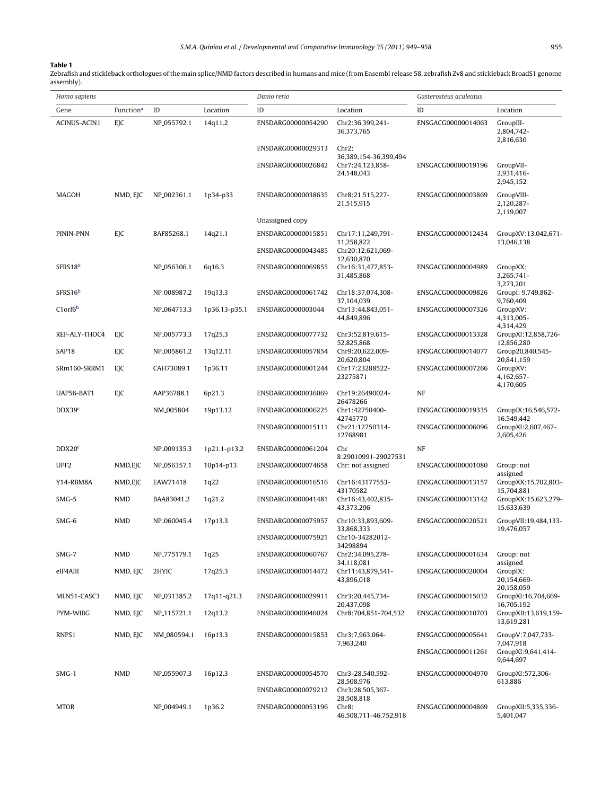#### **Table 1**

Zebrafish and stickleback orthologues of the main splice/NMD factors described in humans and mice (from Ensembl release 58, zebrafish Zv8 and stickleback BroadS1 genome assembly).

| Homo sapiens        |                       |                         |               | Danio rerio                              |                                                         | Gasterosteus aculeatus |                                                 |
|---------------------|-----------------------|-------------------------|---------------|------------------------------------------|---------------------------------------------------------|------------------------|-------------------------------------------------|
| Gene                | Function <sup>a</sup> | ID                      | Location      | ID                                       | Location                                                | ID                     | Location                                        |
| ACINUS-ACIN1        | EJC                   | NP <sub>-055792.1</sub> | 14q11.2       | ENSDARG00000054290                       | Chr2:36,399,241-<br>36,373,765                          | ENSGACG00000014063     | GroupIII-<br>2,804,742-                         |
|                     |                       |                         |               | ENSDARG00000029313                       | Chr2:                                                   |                        | 2,816,630                                       |
|                     |                       |                         |               | ENSDARG00000026842                       | 36,389,154-36,399,494<br>Chr7:24,123,858-<br>24,148,043 | ENSGACG00000019196     | GroupVII-<br>2,931,416-<br>2,945,152            |
| <b>MAGOH</b>        | NMD, EJC              | NP <sub>-002361.1</sub> | 1p34-p33      | ENSDARG00000038635                       | Chr8:21,515,227-<br>21,515,915                          | ENSGACG00000003869     | GroupVIII-<br>2,120,287-<br>2,119,007           |
|                     |                       |                         |               | Unassigned copy                          |                                                         |                        |                                                 |
| PININ-PNN           | EJC                   | BAF85268.1              | 14q21.1       | ENSDARG00000015851<br>ENSDARG00000043485 | Chr17:11,249,791-<br>11,258,822<br>Chr20:12,621,069-    | ENSGACG00000012434     | GroupXV:13,042,671-<br>13,046,138               |
|                     |                       |                         |               |                                          | 12,630,870                                              |                        |                                                 |
| SFRS18 <sup>b</sup> |                       | NP_056306.1             | 6q16.3        | ENSDARG00000069855                       | Chr16:31,477,853-<br>31,485,868                         | ENSGACG00000004989     | GroupXX:<br>3,265,741-<br>3,273,201             |
| SFRS16 <sup>b</sup> |                       | NP <sub>-008987.2</sub> | 19q13.3       | ENSDARG00000061742                       | Chr18:37,074,308-<br>37,104,039                         | ENSGACG00000009826     | GroupI: 9,749,862-<br>9,760,409                 |
| $C1$ orf $6b$       |                       | NP <sub>-064713.3</sub> | 1p36.13-p35.1 | ENSDARG0000003044                        | Chr13:44,843,051-<br>44,849,896                         | ENSGACG00000007326     | GroupXV:<br>4,313,005-                          |
| REF-ALY-THOC4       | EJC                   | NP <sub>-005773.3</sub> | 17q25.3       | ENSDARG00000077732                       | Chr3:52,819,615-<br>52,825,868                          | ENSGACG00000013328     | 4,314,429<br>GroupXI:12,858,726-<br>12,856,280  |
| SAP18               | EJC                   | NP <sub>-005861.2</sub> | 13q12.11      | ENSDARG00000057854                       | Chr9:20,622,009-<br>20,620,804                          | ENSGACG00000014077     | Group20,840,545-<br>20,841,159                  |
| SRm160-SRRM1        | EJC                   | CAH73089.1              | 1p36.11       | ENSDARG00000001244                       | Chr17:23288522-<br>23275871                             | ENSGACG00000007266     | GroupXV:<br>4,162,657-<br>4,170,605             |
| UAP56-BAT1          | EJC                   | AAP36788.1              | 6p21.3        | ENSDARG00000036069                       | Chr19:26490024-<br>26478266                             | NF                     |                                                 |
| DDX39 <sup>c</sup>  |                       | NM <sub>-005804</sub>   | 19p13.12      | ENSDARG00000006225                       | Chr1:42750400-<br>42745770                              | ENSGACG00000019335     | GroupIX:16,546,572-<br>16,549,442               |
|                     |                       |                         |               | ENSDARG00000015111                       | Chr21:12750314-<br>12768981                             | ENSGACG00000006096     | GroupXI:2,607,467-<br>2,605,426                 |
| DDX20 <sup>c</sup>  |                       | NP <sub>-009135.3</sub> | 1p21.1-p13.2  | ENSDARG00000061204                       | Chr                                                     | NF                     |                                                 |
| UPF <sub>2</sub>    | NMD,EJC               | NP <sub>-056357.1</sub> | 10p14-p13     | ENSDARG00000074658                       | 8:29010991-29027531<br>Chr: not assigned                | ENSGACG00000001080     | Group: not                                      |
| Y14-RBM8A           | NMD,EJC               | EAW71418                | 1q22          | ENSDARG00000016516                       | Chr16:43177553-<br>43170582                             | ENSGACG00000013157     | assigned<br>GroupXX:15,702,803-<br>15,704,881   |
| $SMG-5$             | <b>NMD</b>            | BAA83041.2              | 1q21.2        | ENSDARG00000041481                       | Chr16:43,402,835-<br>43,373,296                         | ENSGACG00000013142     | GroupXX:15,623,279-<br>15,633,639               |
| SMG-6               | NMD                   | NP <sub>-060045.4</sub> | 17p13.3       | ENSDARG00000075957                       | Chr10:33,893,609-                                       | ENSGACG00000020521     | GroupVII:19,484,133-                            |
|                     |                       |                         |               | ENSDARG00000075921                       | 33,868,333<br>Chr10-34282012-<br>34298894               |                        | 19,476,057                                      |
| SMG-7               | NMD                   | NP <sub>-775179.1</sub> | 1q25          | ENSDARG00000060767                       | Chr2:34,095,278-<br>34,118,081                          | ENSGACG00000001634     | Group: not<br>assigned                          |
| eIF4AIII            | NMD, EJC              | 2HYIC                   | 17q25.3       | ENSDARG00000014472                       | Chr11:43,879,541-<br>43,896,018                         | ENSGACG00000020004     | GroupIX:<br>20,154,669-                         |
| MLN51-CASC3         | NMD, EJC              | NP_031385.2             | 17q11-q21.3   | ENSDARG00000029911                       | Chr3:20,445,734-<br>20,437,098                          | ENSGACG00000015032     | 20,158,059<br>GroupXI:16,704,669-<br>16,705,192 |
| PYM-WIBG            | NMD, EJC              | NP <sub>-115721.1</sub> | 12q13.2       | ENSDARG00000046024                       | Chr8:704,851-704,532                                    | ENSGACG00000010703     | GroupXII:13,619,159-<br>13,619,281              |
| RNPS1               | NMD, EJC              | NM <sub>-080594.1</sub> | 16p13.3       | ENSDARG00000015853                       | Chr3:7,963,064-                                         | ENSGACG00000005641     | GroupV:7,047,733-                               |
|                     |                       |                         |               |                                          | 7,963,240                                               | ENSGACG00000011261     | 7.047.918<br>GroupXI:9,641,414-<br>9,644,697    |
| $SMG-1$             | <b>NMD</b>            | NP <sub>-055907.3</sub> | 16p12.3       | ENSDARG00000054570                       | Chr3-28,540,592-<br>28,508,976                          | ENSGACG00000004970     | GroupXI:572,306-<br>613,886                     |
|                     |                       |                         |               | ENSDARG00000079212                       | Chr3:28,505,367-<br>28,508,818                          |                        |                                                 |
| <b>MTOR</b>         |                       | NP <sub>-004949.1</sub> | 1p36.2        | ENSDARG00000053196                       | Chr <sub>8</sub> :<br>46,508,711-46,752,918             | ENSGACG00000004869     | GroupXII:5,335,336-<br>5,401,047                |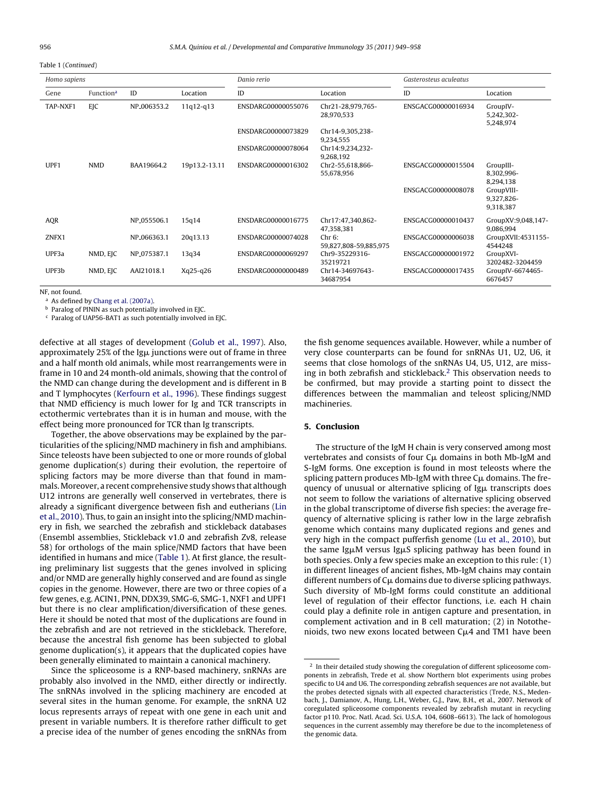Table 1 (Continued)

| Homo sapiens |                       |                         |               | Danio rerio        |                                 | Gasterosteus aculeatus |                                       |
|--------------|-----------------------|-------------------------|---------------|--------------------|---------------------------------|------------------------|---------------------------------------|
| Gene         | Function <sup>a</sup> | ID                      | Location      | ID                 | Location                        | ID                     | Location                              |
| TAP-NXF1     | EJC                   | NP <sub>-006353.2</sub> | 11q12-q13     | ENSDARG00000055076 | Chr21-28,979,765-<br>28,970,533 | ENSGACG00000016934     | GroupIV-<br>5,242,302-<br>5,248,974   |
|              |                       |                         |               | ENSDARG00000073829 | Chr14-9,305,238-<br>9,234,555   |                        |                                       |
|              |                       |                         |               | ENSDARG00000078064 | Chr14:9,234,232-<br>9,268,192   |                        |                                       |
| UPF1         | <b>NMD</b>            | BAA19664.2              | 19p13.2-13.11 | ENSDARG00000016302 | Chr2-55,618,866-<br>55,678,956  | ENSGACG00000015504     | GroupIII-<br>8,302,996-<br>8,294,138  |
|              |                       |                         |               |                    |                                 | ENSGACG00000008078     | GroupVIII-<br>9,327,826-<br>9,318,387 |
| <b>AQR</b>   |                       | NP <sub>-055506.1</sub> | 15q14         | ENSDARG00000016775 | Chr17:47,340,862-<br>47,358,381 | ENSGACG00000010437     | GroupXV:9,048,147-<br>9,086,994       |
| ZNFX1        |                       | NP <sub>-066363.1</sub> | 20q13.13      | ENSDARG00000074028 | Chr 6:<br>59,827,808-59,885,975 | ENSGACG00000006038     | GroupXVII:4531155-<br>4544248         |
| UPF3a        | NMD, EJC              | NP <sub>-075387.1</sub> | 13q34         | ENSDARG00000069297 | Chr9-35229316-<br>35219721      | ENSGACG00000001972     | GroupXVI-<br>3202482-3204459          |
| UPF3b        | NMD, EJC              | AAI21018.1              | Xq25-q26      | ENSDARG00000000489 | Chr14-34697643-<br>34687954     | ENSGACG00000017435     | GroupIV-6674465-<br>6676457           |

NF, not found.

<sup>a</sup> As defined by Chang et al. (2007a).

**b** Paralog of PININ as such potentially involved in EJC.

 $\,^{\rm c}$  Paralog of UAP56-BAT1 as such potentially involved in EJC.

defective at all stages of development (Golub et al., 1997). Also, approximately 25% of the Ig $\mu$  junctions were out of frame in three and a half month old animals, while most rearrangements were in frame in 10 and 24 month-old animals, showing that the control of the NMD can change during the development and is different in B and T lymphocytes (Kerfourn et al., 1996). These findings suggest that NMD efficiency is much lower for Ig and TCR transcripts in ectothermic vertebrates than it is in human and mouse, with the effect being more pronounced for TCR than Ig transcripts.

Together, the above observations may be explained by the particularities of the splicing/NMD machinery in fish and amphibians. Since teleosts have been subjected to one or more rounds of global genome duplication(s) during their evolution, the repertoire of splicing factors may be more diverse than that found in mammals.Moreover, a recent comprehensive study shows that although U12 introns are generally well conserved in vertebrates, there is already a significant divergence between fish and eutherians (Lin et al., 2010). Thus, to gain an insight into the splicing/NMD machinery in fish, we searched the zebrafish and stickleback databases (Ensembl assemblies, Stickleback v1.0 and zebrafish Zv8, release 58) for orthologs of the main splice/NMD factors that have been identified in humans and mice (Table 1). At first glance, the resulting preliminary list suggests that the genes involved in splicing and/or NMD are generally highly conserved and are found as single copies in the genome. However, there are two or three copies of a few genes, e.g. ACIN1, PNN, DDX39, SMG-6, SMG-1, NXF1 and UPF1 but there is no clear amplification/diversification of these genes. Here it should be noted that most of the duplications are found in the zebrafish and are not retrieved in the stickleback. Therefore, because the ancestral fish genome has been subjected to global genome duplication(s), it appears that the duplicated copies have been generally eliminated to maintain a canonical machinery.

Since the spliceosome is a RNP-based machinery, snRNAs are probably also involved in the NMD, either directly or indirectly. The snRNAs involved in the splicing machinery are encoded at several sites in the human genome. For example, the snRNA U2 locus represents arrays of repeat with one gene in each unit and present in variable numbers. It is therefore rather difficult to get a precise idea of the number of genes encoding the snRNAs from

the fish genome sequences available. However, while a number of very close counterparts can be found for snRNAs U1, U2, U6, it seems that close homologs of the snRNAs U4, U5, U12, are missing in both zebrafish and stickleback.<sup>2</sup> This observation needs to be confirmed, but may provide a starting point to dissect the differences between the mammalian and teleost splicing/NMD machineries.

#### **5. Conclusion**

The structure of the IgM H chain is very conserved among most vertebrates and consists of four  $C\mu$  domains in both Mb-IgM and S-IgM forms. One exception is found in most teleosts where the splicing pattern produces Mb-IgM with three C $\upmu$  domains. The frequency of unusual or alternative splicing of Igµ transcripts does not seem to follow the variations of alternative splicing observed in the global transcriptome of diverse fish species: the average frequency of alternative splicing is rather low in the large zebrafish genome which contains many duplicated regions and genes and very high in the compact pufferfish genome (Lu et al., 2010), but the same IgµM versus IgµS splicing pathway has been found in both species. Only a few species make an exception to this rule: (1) in different lineages of ancient fishes, Mb-IgM chains may contain different numbers of  $C\mu$  domains due to diverse splicing pathways. Such diversity of Mb-IgM forms could constitute an additional level of regulation of their effector functions, i.e. each H chain could play a definite role in antigen capture and presentation, in complement activation and in B cell maturation; (2) in Notothenioids, two new exons located between  $C\mu 4$  and TM1 have been

<sup>2</sup> In their detailed study showing the coregulation of different spliceosome components in zebrafish, Trede et al. show Northern blot experiments using probes specific to U4 and U6. The corresponding zebrafish sequences are not available, but the probes detected signals with all expected characteristics (Trede, N.S., Medenbach, J., Damianov, A., Hung, L.H., Weber, G.J., Paw, B.H., et al., 2007. Network of coregulated spliceosome components revealed by zebrafish mutant in recycling factor p110. Proc. Natl. Acad. Sci. U.S.A. 104, 6608–6613). The lack of homologous sequences in the current assembly may therefore be due to the incompleteness of the genomic data.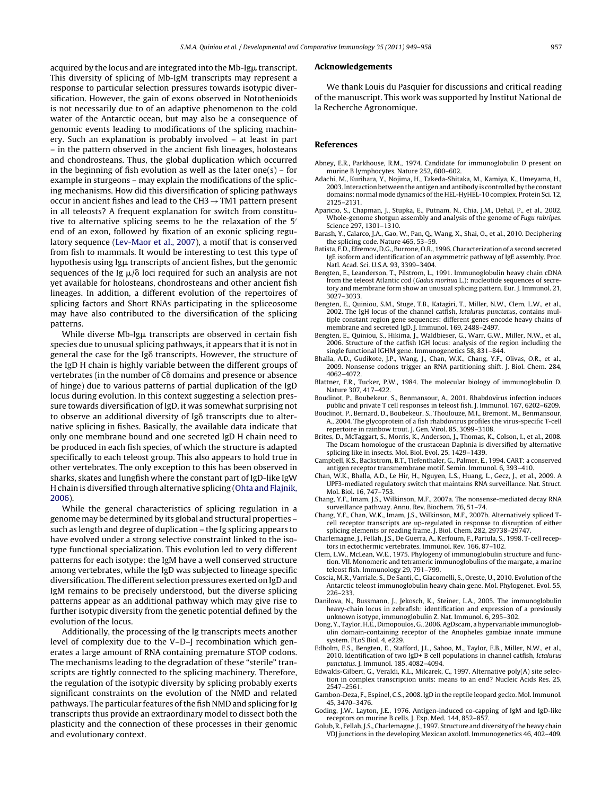acquired by the locus and are integrated into the Mb-Igµ transcript. This diversity of splicing of Mb-IgM transcripts may represent a response to particular selection pressures towards isotypic diversification. However, the gain of exons observed in Notothenioids is not necessarily due to of an adaptive phenomenon to the cold water of the Antarctic ocean, but may also be a consequence of genomic events leading to modifications of the splicing machinery. Such an explanation is probably involved – at least in part – in the pattern observed in the ancient fish lineages, holosteans and chondrosteans. Thus, the global duplication which occurred in the beginning of fish evolution as well as the later one(s) – for example in sturgeons – may explain the modifications of the splicing mechanisms. How did this diversification of splicing pathways occur in ancient fishes and lead to the CH3→TM1 pattern present in all teleosts? A frequent explanation for switch from constitutive to alternative splicing seems to be the relaxation of the 5 end of an exon, followed by fixation of an exonic splicing regulatory sequence (Lev-Maor et al., 2007), a motif that is conserved from fish to mammals. It would be interesting to test this type of hypothesis using Igµ transcripts of ancient fishes, but the genomic sequences of the Ig  $\mu/\delta$  loci required for such an analysis are not yet available for holosteans, chondrosteans and other ancient fish lineages. In addition, a different evolution of the repertoires of splicing factors and Short RNAs participating in the spliceosome may have also contributed to the diversification of the splicing patterns.

While diverse Mb-Igµ transcripts are observed in certain fish species due to unusual splicing pathways, it appears that it is not in general the case for the Ig<sub>o</sub> transcripts. However, the structure of the IgD H chain is highly variable between the different groups of vertebrates (in the number of  $C\delta$  domains and presence or absence of hinge) due to various patterns of partial duplication of the IgD locus during evolution. In this context suggesting a selection pressure towards diversification of IgD, it was somewhat surprising not to observe an additional diversity of Igo transcripts due to alternative splicing in fishes. Basically, the available data indicate that only one membrane bound and one secreted IgD H chain need to be produced in each fish species, of which the structure is adapted specifically to each teleost group. This also appears to hold true in other vertebrates. The only exception to this has been observed in sharks, skates and lungfish where the constant part of IgD-like IgW H chain is diversified through alternative splicing (Ohta and Flajnik, 2006).

While the general characteristics of splicing regulation in a genome may be determined by its global and structural properties – such as length and degree of duplication – the Ig splicing appears to have evolved under a strong selective constraint linked to the isotype functional specialization. This evolution led to very different patterns for each isotype: the IgM have a well conserved structure among vertebrates, while the IgD was subjected to lineage specific diversification. The different selection pressures exerted on IgD and IgM remains to be precisely understood, but the diverse splicing patterns appear as an additional pathway which may give rise to further isotypic diversity from the genetic potential defined by the evolution of the locus.

Additionally, the processing of the Ig transcripts meets another level of complexity due to the V–D–J recombination which generates a large amount of RNA containing premature STOP codons. The mechanisms leading to the degradation of these "sterile" transcripts are tightly connected to the splicing machinery. Therefore, the regulation of the isotypic diversity by splicing probably exerts significant constraints on the evolution of the NMD and related pathways. The particular features of the fish NMD and splicing for Ig transcripts thus provide an extraordinary model to dissect both the plasticity and the connection of these processes in their genomic and evolutionary context.

#### **Acknowledgements**

We thank Louis du Pasquier for discussions and critical reading of the manuscript. This work was supported by Institut National de la Recherche Agronomique.

#### **References**

- Abney, E.R., Parkhouse, R.M., 1974. Candidate for immunoglobulin D present on murine B lymphocytes. Nature 252, 600–602.
- Adachi, M., Kurihara, Y., Nojima, H., Takeda-Shitaka, M., Kamiya, K., Umeyama, H., 2003. Interaction between the antigen and antibody is controlled by the constant domains: normal mode dynamics of the HEL-HyHEL-10 complex. Protein Sci. 12, 2125–2131.
- Aparicio, S., Chapman, J., Stupka, E., Putnam, N., Chia, J.M., Dehal, P., et al., 2002. Whole-genome shotgun assembly and analysis of the genome of Fugu rubripes. Science 297, 1301–1310.
- Barash, Y., Calarco, J.A., Gao, W., Pan, Q., Wang, X., Shai, O., et al., 2010. Deciphering the splicing code. Nature 465, 53–59.
- Batista, F.D., Efremov, D.G., Burrone, O.R., 1996. Characterization of a second secreted IgE isoform and identification of an asymmetric pathway of IgE assembly. Proc. Natl. Acad. Sci. U.S.A. 93, 3399–3404.
- Bengten, E., Leanderson, T., Pilstrom, L., 1991. Immunoglobulin heavy chain cDNA from the teleost Atlantic cod (Gadus morhua L.): nucleotide sequences of secretory and membrane form show an unusual splicing pattern. Eur. J. Immunol. 21, 3027–3033.
- Bengten, E., Quiniou, S.M., Stuge, T.B., Katagiri, T., Miller, N.W., Clem, L.W., et al., 2002. The IgH locus of the channel catfish, Ictalurus punctatus, contains multiple constant region gene sequences: different genes encode heavy chains of membrane and secreted IgD. J. Immunol. 169, 2488–2497.
- Bengten, E., Quiniou, S., Hikima, J., Waldbieser, G., Warr, G.W., Miller, N.W., et al., 2006. Structure of the catfish IGH locus: analysis of the region including the single functional IGHM gene. Immunogenetics 58, 831–844.
- Bhalla, A.D., Gudikote, J.P., Wang, J., Chan, W.K., Chang, Y.F., Olivas, O.R., et al., 2009. Nonsense codons trigger an RNA partitioning shift. J. Biol. Chem. 284, 4062–4072.
- Blattner, F.R., Tucker, P.W., 1984. The molecular biology of immunoglobulin D. Nature 307, 417–422.
- Boudinot, P., Boubekeur, S., Benmansour, A., 2001. Rhabdovirus infection induces public and private T cell responses in teleost fish. J. Immunol. 167, 6202–6209.
- Boudinot, P., Bernard, D., Boubekeur, S., Thoulouze, M.I., Bremont, M., Benmansour, A., 2004. The glycoprotein of a fish rhabdovirus profiles the virus-specific T-cell repertoire in rainbow trout. J. Gen. Virol. 85, 3099–3108.
- Brites, D., McTaggart, S., Morris, K., Anderson, J., Thomas, K., Colson, I., et al., 2008. The Dscam homologue of the crustacean Daphnia is diversified by alternative splicing like in insects. Mol. Biol. Evol. 25, 1429–1439.
- Campbell, K.S., Backstrom, B.T., Tiefenthaler, G., Palmer, E., 1994. CART: a conserved antigen receptor transmembrane motif. Semin. Immunol. 6, 393–410.
- Chan, W.K., Bhalla, A.D., Le Hir, H., Nguyen, L.S., Huang, L., Gecz, J., et al., 2009. A UPF3-mediated regulatory switch that maintains RNA surveillance. Nat. Struct. Mol. Biol. 16, 747–753.
- Chang, Y.F., Imam, J.S., Wilkinson, M.F., 2007a. The nonsense-mediated decay RNA surveillance pathway. Annu. Rev. Biochem. 76, 51–74.
- Chang, Y.F., Chan, W.K., Imam, J.S., Wilkinson, M.F., 2007b. Alternatively spliced Tcell receptor transcripts are up-regulated in response to disruption of either splicing elements or reading frame. J. Biol. Chem. 282, 29738–29747.
- Charlemagne, J., Fellah, J.S., De Guerra, A., Kerfourn, F., Partula, S., 1998. T-cell receptors in ectothermic vertebrates. Immunol. Rev. 166, 87–102.
- Clem, L.W., McLean, W.E., 1975. Phylogeny of immunoglobulin structure and function. VII. Monomeric and tetrameric immunoglobulins of the margate, a marine teleost fish. Immunology 29, 791–799.
- Coscia, M.R., Varriale, S., De Santi, C., Giacomelli, S., Oreste, U., 2010. Evolution of the Antarctic teleost immunoglobulin heavy chain gene. Mol. Phylogenet. Evol. 55, 226–233.
- Danilova, N., Bussmann, J., Jekosch, K., Steiner, L.A., 2005. The immunoglobulin heavy-chain locus in zebrafish: identification and expression of a previously unknown isotype, immunoglobulin Z. Nat. Immunol. 6, 295–302.
- Dong, Y., Taylor, H.E., Dimopoulos, G., 2006. AgDscam, a hypervariable immunoglobulin domain-containing receptor of the Anopheles gambiae innate immune system. PLoS Biol. 4, e229.
- Edholm, E.S., Bengten, E., Stafford, J.L., Sahoo, M., Taylor, E.B., Miller, N.W., et al., 2010. Identification of two IgD+ B cell populations in channel catfish, Ictalurus punctatus. J. Immunol. 185, 4082–4094.
- Edwalds-Gilbert, G., Veraldi, K.L., Milcarek, C., 1997. Alternative poly(A) site selection in complex transcription units: means to an end? Nucleic Acids Res. 25, 2547–2561.
- Gambon-Deza, F., Espinel, C.S., 2008. IgD in the reptile leopard gecko. Mol. Immunol. 45, 3470–3476.
- Goding, J.W., Layton, J.E., 1976. Antigen-induced co-capping of IgM and IgD-like receptors on murine B cells. J. Exp. Med. 144, 852–857.
- Golub, R., Fellah, J.S., Charlemagne, J., 1997. Structure and diversity of the heavy chain VDJ junctions in the developing Mexican axolotl. Immunogenetics 46, 402–409.